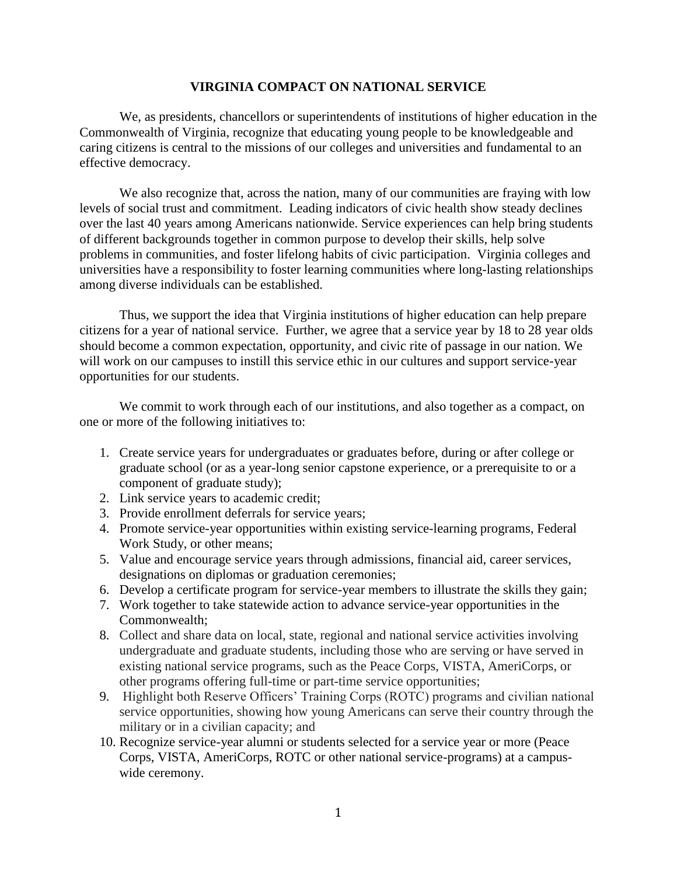## **VIRGINIA COMPACT ON NATIONAL SERVICE**

We, as presidents, chancellors or superintendents of institutions of higher education in the Commonwealth of Virginia, recognize that educating young people to be knowledgeable and caring citizens is central to the missions of our colleges and universities and fundamental to an effective democracy.

We also recognize that, across the nation, many of our communities are fraying with low levels of social trust and commitment. Leading indicators of civic health show steady declines over the last 40 years among Americans nationwide. Service experiences can help bring students of different backgrounds together in common purpose to develop their skills, help solve problems in communities, and foster lifelong habits of civic participation. Virginia colleges and universities have a responsibility to foster learning communities where long-lasting relationships among diverse individuals can be established.

Thus, we support the idea that Virginia institutions of higher education can help prepare citizens for a year of national service. Further, we agree that a service year by 18 to 28 year olds should become a common expectation, opportunity, and civic rite of passage in our nation. We will work on our campuses to instill this service ethic in our cultures and support service-year opportunities for our students.

We commit to work through each of our institutions, and also together as a compact, on one or more of the following initiatives to:

- 1. Create service years for undergraduates or graduates before, during or after college or graduate school (or as a year-long senior capstone experience, or a prerequisite to or a component of graduate study);
- 2. Link service years to academic credit;
- 3. Provide enrollment deferrals for service years;
- 4. Promote service-year opportunities within existing service-learning programs, Federal Work Study, or other means;
- 5. Value and encourage service years through admissions, financial aid, career services, designations on diplomas or graduation ceremonies;
- 6. Develop a certificate program for service-year members to illustrate the skills they gain;
- 7. Work together to take statewide action to advance service-year opportunities in the Commonwealth;
- 8. Collect and share data on local, state, regional and national service activities involving undergraduate and graduate students, including those who are serving or have served in existing national service programs, such as the Peace Corps, VISTA, AmeriCorps, or other programs offering full-time or part-time service opportunities;
- 9. Highlight both Reserve Officers' Training Corps (ROTC) programs and civilian national service opportunities, showing how young Americans can serve their country through the military or in a civilian capacity; and
- 10. Recognize service-year alumni or students selected for a service year or more (Peace Corps, VISTA, AmeriCorps, ROTC or other national service-programs) at a campuswide ceremony.